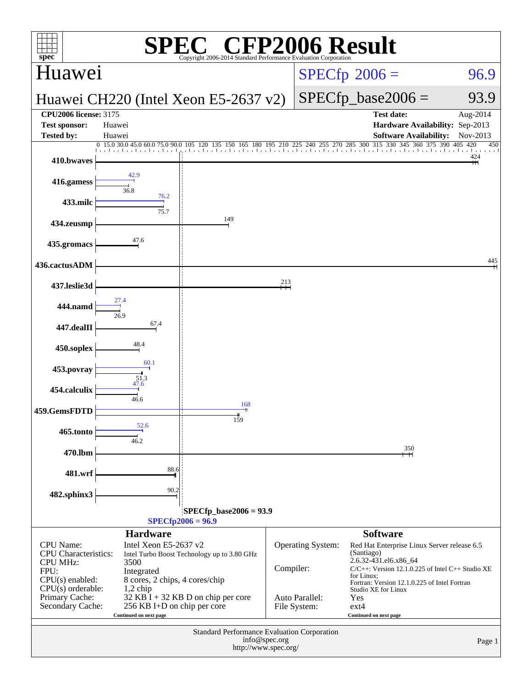| $spec^*$                                                                                                                                                                                                                                                                                                                                                                                           |                                                  | <b>Example CFP2006 Result</b><br>Copyright 2006-2014 Standard Performance Evaluation Corporation |           |                                                     |                                                                                                                                                                                                                                                                               |                       |  |
|----------------------------------------------------------------------------------------------------------------------------------------------------------------------------------------------------------------------------------------------------------------------------------------------------------------------------------------------------------------------------------------------------|--------------------------------------------------|--------------------------------------------------------------------------------------------------|-----------|-----------------------------------------------------|-------------------------------------------------------------------------------------------------------------------------------------------------------------------------------------------------------------------------------------------------------------------------------|-----------------------|--|
| Huawei                                                                                                                                                                                                                                                                                                                                                                                             |                                                  |                                                                                                  |           |                                                     | $SPECfp^{\circ}2006 =$                                                                                                                                                                                                                                                        | 96.9                  |  |
| Huawei CH220 (Intel Xeon E5-2637 v2)                                                                                                                                                                                                                                                                                                                                                               |                                                  |                                                                                                  |           |                                                     | $SPECfp\_base2006 =$                                                                                                                                                                                                                                                          | 93.9                  |  |
| <b>CPU2006 license: 3175</b><br><b>Test sponsor:</b>                                                                                                                                                                                                                                                                                                                                               | Huawei                                           |                                                                                                  |           |                                                     | <b>Test date:</b><br>Hardware Availability: Sep-2013                                                                                                                                                                                                                          | Aug-2014              |  |
| Tested by:                                                                                                                                                                                                                                                                                                                                                                                         | Huawei                                           |                                                                                                  |           |                                                     | <b>Software Availability:</b>                                                                                                                                                                                                                                                 | Nov-2013              |  |
| 410.bwaves                                                                                                                                                                                                                                                                                                                                                                                         |                                                  |                                                                                                  |           |                                                     | 0 15.0 30.0 45.0 60.0 75.0 90.0 105 120 135 150 165 180 195 210 225 240 255 270 285 300 315 330 345 360 375 390                                                                                                                                                               | 405 420<br>450<br>424 |  |
| 416.gamess                                                                                                                                                                                                                                                                                                                                                                                         | 36.8                                             |                                                                                                  |           |                                                     |                                                                                                                                                                                                                                                                               |                       |  |
| 433.milc                                                                                                                                                                                                                                                                                                                                                                                           | 76.2<br>75.7                                     |                                                                                                  |           |                                                     |                                                                                                                                                                                                                                                                               |                       |  |
| 434.zeusmp                                                                                                                                                                                                                                                                                                                                                                                         |                                                  | 149                                                                                              |           |                                                     |                                                                                                                                                                                                                                                                               |                       |  |
| 435.gromacs                                                                                                                                                                                                                                                                                                                                                                                        | 47.6                                             |                                                                                                  |           |                                                     |                                                                                                                                                                                                                                                                               |                       |  |
| 436.cactusADM                                                                                                                                                                                                                                                                                                                                                                                      |                                                  |                                                                                                  |           |                                                     |                                                                                                                                                                                                                                                                               | 445                   |  |
| 437.leslie3d                                                                                                                                                                                                                                                                                                                                                                                       |                                                  |                                                                                                  | 213       |                                                     |                                                                                                                                                                                                                                                                               |                       |  |
| 444.namd                                                                                                                                                                                                                                                                                                                                                                                           |                                                  |                                                                                                  |           |                                                     |                                                                                                                                                                                                                                                                               |                       |  |
| 447.dealII                                                                                                                                                                                                                                                                                                                                                                                         | 67.4                                             |                                                                                                  |           |                                                     |                                                                                                                                                                                                                                                                               |                       |  |
| 450.soplex                                                                                                                                                                                                                                                                                                                                                                                         | 48.4<br>60.1                                     |                                                                                                  |           |                                                     |                                                                                                                                                                                                                                                                               |                       |  |
| 453.povray                                                                                                                                                                                                                                                                                                                                                                                         | $\frac{51.3}{47.6}$                              |                                                                                                  |           |                                                     |                                                                                                                                                                                                                                                                               |                       |  |
| 454.calculix                                                                                                                                                                                                                                                                                                                                                                                       | 46.6                                             | 168                                                                                              |           |                                                     |                                                                                                                                                                                                                                                                               |                       |  |
| 459.GemsFDTD                                                                                                                                                                                                                                                                                                                                                                                       | 52.6                                             | 159                                                                                              |           |                                                     |                                                                                                                                                                                                                                                                               |                       |  |
| 465.tonto                                                                                                                                                                                                                                                                                                                                                                                          | 46.2                                             |                                                                                                  |           |                                                     |                                                                                                                                                                                                                                                                               |                       |  |
| 470.lbm                                                                                                                                                                                                                                                                                                                                                                                            | 88.6                                             |                                                                                                  |           |                                                     | 350                                                                                                                                                                                                                                                                           |                       |  |
| 481.wrf                                                                                                                                                                                                                                                                                                                                                                                            |                                                  |                                                                                                  |           |                                                     |                                                                                                                                                                                                                                                                               |                       |  |
|                                                                                                                                                                                                                                                                                                                                                                                                    | 90.2<br>482.sphinx3<br>$SPECfp\_base2006 = 93.9$ |                                                                                                  |           |                                                     |                                                                                                                                                                                                                                                                               |                       |  |
|                                                                                                                                                                                                                                                                                                                                                                                                    |                                                  | $SPECfp2006 = 96.9$                                                                              |           |                                                     |                                                                                                                                                                                                                                                                               |                       |  |
|                                                                                                                                                                                                                                                                                                                                                                                                    | <b>Hardware</b>                                  |                                                                                                  |           |                                                     | <b>Software</b>                                                                                                                                                                                                                                                               |                       |  |
| <b>CPU</b> Name:<br>Intel Xeon E5-2637 v2<br><b>CPU</b> Characteristics:<br>Intel Turbo Boost Technology up to 3.80 GHz<br>CPU MHz:<br>3500<br>FPU:<br>Integrated<br>$CPU(s)$ enabled:<br>8 cores, 2 chips, 4 cores/chip<br>$CPU(s)$ orderable:<br>$1,2$ chip<br>Primary Cache:<br>32 KB I + 32 KB D on chip per core<br>Secondary Cache:<br>256 KB I+D on chip per core<br>Continued on next page |                                                  |                                                                                                  | Compiler: | Operating System:<br>Auto Parallel:<br>File System: | Red Hat Enterprise Linux Server release 6.5<br>(Santiago)<br>2.6.32-431.el6.x86_64<br>$C/C++$ : Version 12.1.0.225 of Intel $C++$ Studio XE<br>for Linux;<br>Fortran: Version 12.1.0.225 of Intel Fortran<br>Studio XE for Linux<br>Yes<br>$ext{4}$<br>Continued on next page |                       |  |
|                                                                                                                                                                                                                                                                                                                                                                                                    | Standard Performance Evaluation Corporation      |                                                                                                  |           |                                                     |                                                                                                                                                                                                                                                                               |                       |  |
|                                                                                                                                                                                                                                                                                                                                                                                                    | info@spec.org<br>Page 1<br>http://www.spec.org/  |                                                                                                  |           |                                                     |                                                                                                                                                                                                                                                                               |                       |  |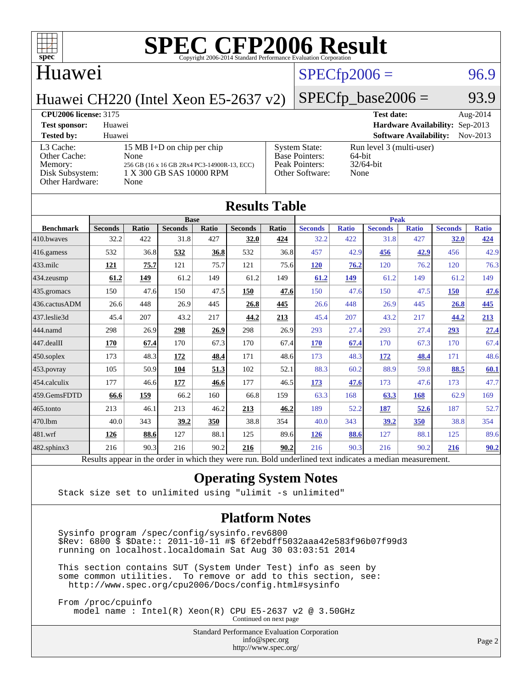

### Huawei

### $SPECfp2006 = 96.9$  $SPECfp2006 = 96.9$

Huawei CH220 (Intel Xeon E5-2637 v2)

### $SPECfp\_base2006 = 93.9$

### **[CPU2006 license:](http://www.spec.org/auto/cpu2006/Docs/result-fields.html#CPU2006license)** 3175 **[Test date:](http://www.spec.org/auto/cpu2006/Docs/result-fields.html#Testdate)** Aug-2014 **[Test sponsor:](http://www.spec.org/auto/cpu2006/Docs/result-fields.html#Testsponsor)** Huawei **[Hardware Availability:](http://www.spec.org/auto/cpu2006/Docs/result-fields.html#HardwareAvailability)** Sep-2013 **[Tested by:](http://www.spec.org/auto/cpu2006/Docs/result-fields.html#Testedby)** Huawei **[Software Availability:](http://www.spec.org/auto/cpu2006/Docs/result-fields.html#SoftwareAvailability)** Nov-2013 [L3 Cache:](http://www.spec.org/auto/cpu2006/Docs/result-fields.html#L3Cache) 15 MB I+D on chip per chip<br>Other Cache: None [Other Cache:](http://www.spec.org/auto/cpu2006/Docs/result-fields.html#OtherCache) [Memory:](http://www.spec.org/auto/cpu2006/Docs/result-fields.html#Memory) 256 GB (16 x 16 GB 2Rx4 PC3-14900R-13, ECC) [Disk Subsystem:](http://www.spec.org/auto/cpu2006/Docs/result-fields.html#DiskSubsystem) 1 X 300 GB SAS 10000 RPM [Other Hardware:](http://www.spec.org/auto/cpu2006/Docs/result-fields.html#OtherHardware) None [System State:](http://www.spec.org/auto/cpu2006/Docs/result-fields.html#SystemState) Run level 3 (multi-user)<br>Base Pointers: 64-bit [Base Pointers:](http://www.spec.org/auto/cpu2006/Docs/result-fields.html#BasePointers) 64-bit<br>Peak Pointers: 32/64-bit [Peak Pointers:](http://www.spec.org/auto/cpu2006/Docs/result-fields.html#PeakPointers) [Other Software:](http://www.spec.org/auto/cpu2006/Docs/result-fields.html#OtherSoftware) None

| <b>Results Table</b> |                                                                                                          |              |                |       |                |       |                |              |                |              |                |              |
|----------------------|----------------------------------------------------------------------------------------------------------|--------------|----------------|-------|----------------|-------|----------------|--------------|----------------|--------------|----------------|--------------|
|                      |                                                                                                          |              | <b>Base</b>    |       |                |       |                |              | <b>Peak</b>    |              |                |              |
| <b>Benchmark</b>     | <b>Seconds</b>                                                                                           | <b>Ratio</b> | <b>Seconds</b> | Ratio | <b>Seconds</b> | Ratio | <b>Seconds</b> | <b>Ratio</b> | <b>Seconds</b> | <b>Ratio</b> | <b>Seconds</b> | <b>Ratio</b> |
| 410.bwayes           | 32.2                                                                                                     | 422          | 31.8           | 427   | 32.0           | 424   | 32.2           | 422          | 31.8           | 427          | 32.0           | 424          |
| 416.gamess           | 532                                                                                                      | 36.8         | 532            | 36.8  | 532            | 36.8  | 457            | 42.9         | 456            | 42.9         | 456            | 42.9         |
| $433$ .milc          | 121                                                                                                      | 75.7         | 121            | 75.7  | 121            | 75.6  | 120            | 76.2         | 120            | 76.2         | 120            | 76.3         |
| 434.zeusmp           | 61.2                                                                                                     | 149          | 61.2           | 149   | 61.2           | 149   | 61.2           | 149          | 61.2           | 149          | 61.2           | 149          |
| 435.gromacs          | 150                                                                                                      | 47.6         | 150            | 47.5  | 150            | 47.6  | 150            | 47.6         | 150            | 47.5         | 150            | 47.6         |
| 436.cactusADM        | 26.6                                                                                                     | 448          | 26.9           | 445   | 26.8           | 445   | 26.6           | 448          | 26.9           | 445          | 26.8           | 445          |
| 437.leslie3d         | 45.4                                                                                                     | 207          | 43.2           | 217   | 44.2           | 213   | 45.4           | 207          | 43.2           | 217          | 44.2           | 213          |
| 444.namd             | 298                                                                                                      | 26.9         | 298            | 26.9  | 298            | 26.9  | 293            | 27.4         | 293            | 27.4         | 293            | 27.4         |
| 447.dealII           | 170                                                                                                      | 67.4         | 170            | 67.3  | 170            | 67.4  | 170            | 67.4         | 170            | 67.3         | 170            | 67.4         |
| 450.soplex           | 173                                                                                                      | 48.3         | 172            | 48.4  | 171            | 48.6  | 173            | 48.3         | 172            | 48.4         | 171            | 48.6         |
| 453.povray           | 105                                                                                                      | 50.9         | 104            | 51.3  | 102            | 52.1  | 88.3           | 60.2         | 88.9           | 59.8         | 88.5           | 60.1         |
| 454.calculix         | 177                                                                                                      | 46.6         | 177            | 46.6  | 177            | 46.5  | 173            | 47.6         | 173            | 47.6         | 173            | 47.7         |
| 459.GemsFDTD         | 66.6                                                                                                     | 159          | 66.2           | 160   | 66.8           | 159   | 63.3           | 168          | 63.3           | 168          | 62.9           | 169          |
| 465.tonto            | 213                                                                                                      | 46.1         | 213            | 46.2  | 213            | 46.2  | 189            | 52.2         | 187            | 52.6         | 187            | 52.7         |
| 470.1bm              | 40.0                                                                                                     | 343          | 39.2           | 350   | 38.8           | 354   | 40.0           | 343          | 39.2           | 350          | 38.8           | 354          |
| 481.wrf              | 126                                                                                                      | 88.6         | 127            | 88.1  | 125            | 89.6  | 126            | 88.6         | 127            | 88.1         | 125            | 89.6         |
| $482$ .sphinx $3$    | 216                                                                                                      | 90.3         | 216            | 90.2  | 216            | 90.2  | 216            | 90.3         | 216            | 90.2         | 216            | 90.2         |
|                      | Results appear in the order in which they were run. Bold underlined text indicates a median measurement. |              |                |       |                |       |                |              |                |              |                |              |

### **[Operating System Notes](http://www.spec.org/auto/cpu2006/Docs/result-fields.html#OperatingSystemNotes)**

Stack size set to unlimited using "ulimit -s unlimited"

### **[Platform Notes](http://www.spec.org/auto/cpu2006/Docs/result-fields.html#PlatformNotes)**

 Sysinfo program /spec/config/sysinfo.rev6800 \$Rev: 6800 \$ \$Date:: 2011-10-11 #\$ 6f2ebdff5032aaa42e583f96b07f99d3 running on localhost.localdomain Sat Aug 30 03:03:51 2014

 This section contains SUT (System Under Test) info as seen by some common utilities. To remove or add to this section, see: <http://www.spec.org/cpu2006/Docs/config.html#sysinfo>

 From /proc/cpuinfo model name : Intel(R) Xeon(R) CPU E5-2637 v2 @ 3.50GHz Continued on next page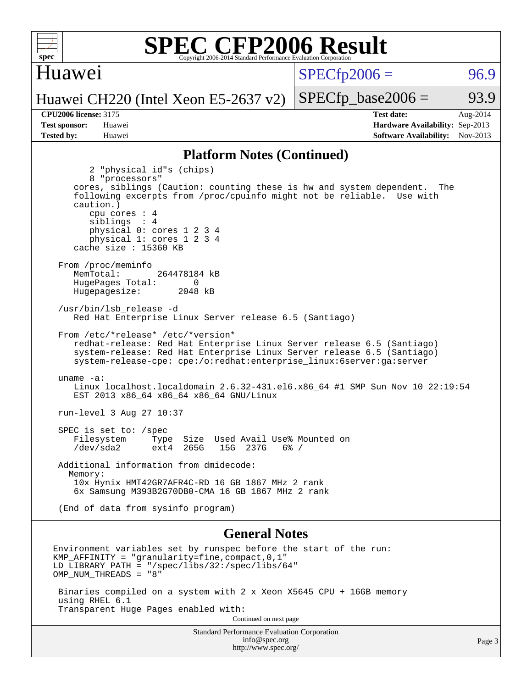

### Huawei

 $SPECTp2006 = 96.9$ 

Huawei CH220 (Intel Xeon E5-2637 v2)

**[Tested by:](http://www.spec.org/auto/cpu2006/Docs/result-fields.html#Testedby)** Huawei **[Software Availability:](http://www.spec.org/auto/cpu2006/Docs/result-fields.html#SoftwareAvailability)** Nov-2013

**[CPU2006 license:](http://www.spec.org/auto/cpu2006/Docs/result-fields.html#CPU2006license)** 3175 **[Test date:](http://www.spec.org/auto/cpu2006/Docs/result-fields.html#Testdate)** Aug-2014 **[Test sponsor:](http://www.spec.org/auto/cpu2006/Docs/result-fields.html#Testsponsor)** Huawei **[Hardware Availability:](http://www.spec.org/auto/cpu2006/Docs/result-fields.html#HardwareAvailability)** Sep-2013

 $SPECTp\_base2006 = 93.9$ 

### **[Platform Notes \(Continued\)](http://www.spec.org/auto/cpu2006/Docs/result-fields.html#PlatformNotes)**

 2 "physical id"s (chips) 8 "processors" cores, siblings (Caution: counting these is hw and system dependent. The following excerpts from /proc/cpuinfo might not be reliable. Use with caution.) cpu cores : 4 siblings : 4 physical 0: cores 1 2 3 4 physical 1: cores 1 2 3 4 cache size : 15360 KB From /proc/meminfo MemTotal: 264478184 kB HugePages\_Total: 0<br>Hugepagesize: 2048 kB Hugepagesize: /usr/bin/lsb\_release -d Red Hat Enterprise Linux Server release 6.5 (Santiago) From /etc/\*release\* /etc/\*version\* redhat-release: Red Hat Enterprise Linux Server release 6.5 (Santiago) system-release: Red Hat Enterprise Linux Server release 6.5 (Santiago) system-release-cpe: cpe:/o:redhat:enterprise\_linux:6server:ga:server uname -a: Linux localhost.localdomain 2.6.32-431.el6.x86\_64 #1 SMP Sun Nov 10 22:19:54 EST 2013 x86\_64 x86\_64 x86\_64 GNU/Linux run-level 3 Aug 27 10:37 SPEC is set to: /spec Filesystem Type Size Used Avail Use% Mounted on<br>
/dev/sda2 ext4 265G 15G 237G 6% / /dev/sda2 ext4 265G 15G 237G 6% / Additional information from dmidecode: Memory: 10x Hynix HMT42GR7AFR4C-RD 16 GB 1867 MHz 2 rank 6x Samsung M393B2G70DB0-CMA 16 GB 1867 MHz 2 rank (End of data from sysinfo program) **[General Notes](http://www.spec.org/auto/cpu2006/Docs/result-fields.html#GeneralNotes)** Environment variables set by runspec before the start of the run: KMP\_AFFINITY = "granularity=fine,compact,0,1" LD LIBRARY PATH = "/spec/libs/32:/spec/libs/64" OMP\_NUM\_THREADS = "8"

 Binaries compiled on a system with 2 x Xeon X5645 CPU + 16GB memory using RHEL 6.1 Transparent Huge Pages enabled with:

Continued on next page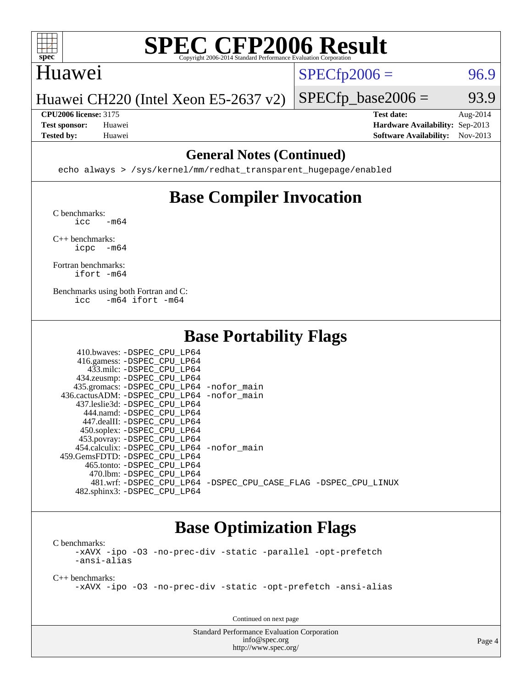

### Huawei

 $SPECTp2006 = 96.9$ 

Huawei CH220 (Intel Xeon E5-2637 v2)

**[Test sponsor:](http://www.spec.org/auto/cpu2006/Docs/result-fields.html#Testsponsor)** Huawei **[Hardware Availability:](http://www.spec.org/auto/cpu2006/Docs/result-fields.html#HardwareAvailability)** Sep-2013

 $SPECTp\_base2006 = 93.9$ **[CPU2006 license:](http://www.spec.org/auto/cpu2006/Docs/result-fields.html#CPU2006license)** 3175 **[Test date:](http://www.spec.org/auto/cpu2006/Docs/result-fields.html#Testdate)** Aug-2014

**[Tested by:](http://www.spec.org/auto/cpu2006/Docs/result-fields.html#Testedby)** Huawei **[Software Availability:](http://www.spec.org/auto/cpu2006/Docs/result-fields.html#SoftwareAvailability)** Nov-2013

### **[General Notes \(Continued\)](http://www.spec.org/auto/cpu2006/Docs/result-fields.html#GeneralNotes)**

echo always > /sys/kernel/mm/redhat\_transparent\_hugepage/enabled

### **[Base Compiler Invocation](http://www.spec.org/auto/cpu2006/Docs/result-fields.html#BaseCompilerInvocation)**

[C benchmarks](http://www.spec.org/auto/cpu2006/Docs/result-fields.html#Cbenchmarks):  $\text{icc}$   $-\text{m64}$ 

[C++ benchmarks:](http://www.spec.org/auto/cpu2006/Docs/result-fields.html#CXXbenchmarks) [icpc -m64](http://www.spec.org/cpu2006/results/res2014q3/cpu2006-20140901-31116.flags.html#user_CXXbase_intel_icpc_64bit_bedb90c1146cab66620883ef4f41a67e)

[Fortran benchmarks](http://www.spec.org/auto/cpu2006/Docs/result-fields.html#Fortranbenchmarks): [ifort -m64](http://www.spec.org/cpu2006/results/res2014q3/cpu2006-20140901-31116.flags.html#user_FCbase_intel_ifort_64bit_ee9d0fb25645d0210d97eb0527dcc06e)

[Benchmarks using both Fortran and C](http://www.spec.org/auto/cpu2006/Docs/result-fields.html#BenchmarksusingbothFortranandC): [icc -m64](http://www.spec.org/cpu2006/results/res2014q3/cpu2006-20140901-31116.flags.html#user_CC_FCbase_intel_icc_64bit_0b7121f5ab7cfabee23d88897260401c) [ifort -m64](http://www.spec.org/cpu2006/results/res2014q3/cpu2006-20140901-31116.flags.html#user_CC_FCbase_intel_ifort_64bit_ee9d0fb25645d0210d97eb0527dcc06e)

### **[Base Portability Flags](http://www.spec.org/auto/cpu2006/Docs/result-fields.html#BasePortabilityFlags)**

| 410.bwaves: -DSPEC CPU LP64                 |                                                                |
|---------------------------------------------|----------------------------------------------------------------|
| 416.gamess: -DSPEC_CPU_LP64                 |                                                                |
| 433.milc: -DSPEC CPU LP64                   |                                                                |
| 434.zeusmp: - DSPEC_CPU_LP64                |                                                                |
| 435.gromacs: -DSPEC_CPU_LP64 -nofor_main    |                                                                |
| 436.cactusADM: -DSPEC CPU LP64 -nofor main  |                                                                |
| 437.leslie3d: -DSPEC CPU LP64               |                                                                |
| 444.namd: - DSPEC_CPU LP64                  |                                                                |
| 447.dealII: -DSPEC CPU LP64                 |                                                                |
| 450.soplex: -DSPEC_CPU_LP64                 |                                                                |
| 453.povray: -DSPEC_CPU_LP64                 |                                                                |
| 454.calculix: - DSPEC CPU LP64 - nofor main |                                                                |
| 459. GemsFDTD: - DSPEC CPU LP64             |                                                                |
| 465.tonto: -DSPEC CPU LP64                  |                                                                |
| 470.1bm: - DSPEC CPU LP64                   |                                                                |
|                                             | 481.wrf: -DSPEC CPU_LP64 -DSPEC_CPU_CASE_FLAG -DSPEC_CPU_LINUX |
| 482.sphinx3: -DSPEC_CPU_LP64                |                                                                |

### **[Base Optimization Flags](http://www.spec.org/auto/cpu2006/Docs/result-fields.html#BaseOptimizationFlags)**

[C benchmarks](http://www.spec.org/auto/cpu2006/Docs/result-fields.html#Cbenchmarks): [-xAVX](http://www.spec.org/cpu2006/results/res2014q3/cpu2006-20140901-31116.flags.html#user_CCbase_f-xAVX) [-ipo](http://www.spec.org/cpu2006/results/res2014q3/cpu2006-20140901-31116.flags.html#user_CCbase_f-ipo) [-O3](http://www.spec.org/cpu2006/results/res2014q3/cpu2006-20140901-31116.flags.html#user_CCbase_f-O3) [-no-prec-div](http://www.spec.org/cpu2006/results/res2014q3/cpu2006-20140901-31116.flags.html#user_CCbase_f-no-prec-div) [-static](http://www.spec.org/cpu2006/results/res2014q3/cpu2006-20140901-31116.flags.html#user_CCbase_f-static) [-parallel](http://www.spec.org/cpu2006/results/res2014q3/cpu2006-20140901-31116.flags.html#user_CCbase_f-parallel) [-opt-prefetch](http://www.spec.org/cpu2006/results/res2014q3/cpu2006-20140901-31116.flags.html#user_CCbase_f-opt-prefetch) [-ansi-alias](http://www.spec.org/cpu2006/results/res2014q3/cpu2006-20140901-31116.flags.html#user_CCbase_f-ansi-alias)

[C++ benchmarks:](http://www.spec.org/auto/cpu2006/Docs/result-fields.html#CXXbenchmarks)

[-xAVX](http://www.spec.org/cpu2006/results/res2014q3/cpu2006-20140901-31116.flags.html#user_CXXbase_f-xAVX) [-ipo](http://www.spec.org/cpu2006/results/res2014q3/cpu2006-20140901-31116.flags.html#user_CXXbase_f-ipo) [-O3](http://www.spec.org/cpu2006/results/res2014q3/cpu2006-20140901-31116.flags.html#user_CXXbase_f-O3) [-no-prec-div](http://www.spec.org/cpu2006/results/res2014q3/cpu2006-20140901-31116.flags.html#user_CXXbase_f-no-prec-div) [-static](http://www.spec.org/cpu2006/results/res2014q3/cpu2006-20140901-31116.flags.html#user_CXXbase_f-static) [-opt-prefetch](http://www.spec.org/cpu2006/results/res2014q3/cpu2006-20140901-31116.flags.html#user_CXXbase_f-opt-prefetch) [-ansi-alias](http://www.spec.org/cpu2006/results/res2014q3/cpu2006-20140901-31116.flags.html#user_CXXbase_f-ansi-alias)

Continued on next page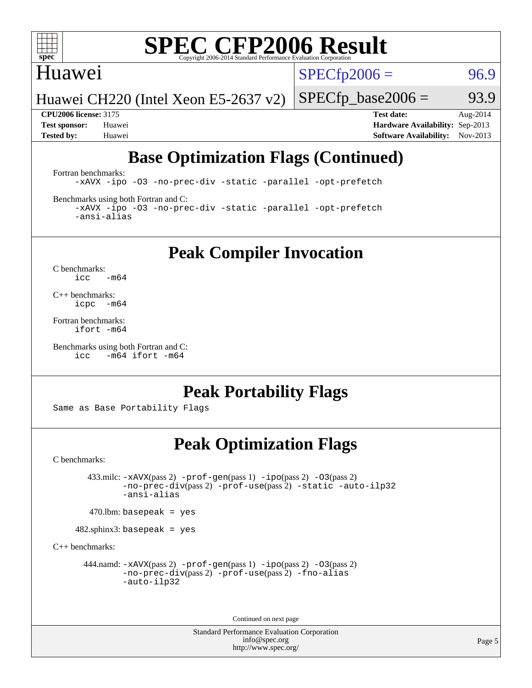

### Huawei

 $SPECTp2006 = 96.9$ 

Huawei CH220 (Intel Xeon E5-2637 v2)

 $SPECTp\_base2006 = 93.9$ **[CPU2006 license:](http://www.spec.org/auto/cpu2006/Docs/result-fields.html#CPU2006license)** 3175 **[Test date:](http://www.spec.org/auto/cpu2006/Docs/result-fields.html#Testdate)** Aug-2014

**[Test sponsor:](http://www.spec.org/auto/cpu2006/Docs/result-fields.html#Testsponsor)** Huawei **[Hardware Availability:](http://www.spec.org/auto/cpu2006/Docs/result-fields.html#HardwareAvailability)** Sep-2013 **[Tested by:](http://www.spec.org/auto/cpu2006/Docs/result-fields.html#Testedby)** Huawei **[Software Availability:](http://www.spec.org/auto/cpu2006/Docs/result-fields.html#SoftwareAvailability)** Nov-2013

### **[Base Optimization Flags \(Continued\)](http://www.spec.org/auto/cpu2006/Docs/result-fields.html#BaseOptimizationFlags)**

[Fortran benchmarks](http://www.spec.org/auto/cpu2006/Docs/result-fields.html#Fortranbenchmarks):

[-xAVX](http://www.spec.org/cpu2006/results/res2014q3/cpu2006-20140901-31116.flags.html#user_FCbase_f-xAVX) [-ipo](http://www.spec.org/cpu2006/results/res2014q3/cpu2006-20140901-31116.flags.html#user_FCbase_f-ipo) [-O3](http://www.spec.org/cpu2006/results/res2014q3/cpu2006-20140901-31116.flags.html#user_FCbase_f-O3) [-no-prec-div](http://www.spec.org/cpu2006/results/res2014q3/cpu2006-20140901-31116.flags.html#user_FCbase_f-no-prec-div) [-static](http://www.spec.org/cpu2006/results/res2014q3/cpu2006-20140901-31116.flags.html#user_FCbase_f-static) [-parallel](http://www.spec.org/cpu2006/results/res2014q3/cpu2006-20140901-31116.flags.html#user_FCbase_f-parallel) [-opt-prefetch](http://www.spec.org/cpu2006/results/res2014q3/cpu2006-20140901-31116.flags.html#user_FCbase_f-opt-prefetch)

[Benchmarks using both Fortran and C](http://www.spec.org/auto/cpu2006/Docs/result-fields.html#BenchmarksusingbothFortranandC):

[-xAVX](http://www.spec.org/cpu2006/results/res2014q3/cpu2006-20140901-31116.flags.html#user_CC_FCbase_f-xAVX) [-ipo](http://www.spec.org/cpu2006/results/res2014q3/cpu2006-20140901-31116.flags.html#user_CC_FCbase_f-ipo) [-O3](http://www.spec.org/cpu2006/results/res2014q3/cpu2006-20140901-31116.flags.html#user_CC_FCbase_f-O3) [-no-prec-div](http://www.spec.org/cpu2006/results/res2014q3/cpu2006-20140901-31116.flags.html#user_CC_FCbase_f-no-prec-div) [-static](http://www.spec.org/cpu2006/results/res2014q3/cpu2006-20140901-31116.flags.html#user_CC_FCbase_f-static) [-parallel](http://www.spec.org/cpu2006/results/res2014q3/cpu2006-20140901-31116.flags.html#user_CC_FCbase_f-parallel) [-opt-prefetch](http://www.spec.org/cpu2006/results/res2014q3/cpu2006-20140901-31116.flags.html#user_CC_FCbase_f-opt-prefetch) [-ansi-alias](http://www.spec.org/cpu2006/results/res2014q3/cpu2006-20140901-31116.flags.html#user_CC_FCbase_f-ansi-alias)

### **[Peak Compiler Invocation](http://www.spec.org/auto/cpu2006/Docs/result-fields.html#PeakCompilerInvocation)**

[C benchmarks](http://www.spec.org/auto/cpu2006/Docs/result-fields.html#Cbenchmarks):  $\text{icc}$  -m64

[C++ benchmarks:](http://www.spec.org/auto/cpu2006/Docs/result-fields.html#CXXbenchmarks) [icpc -m64](http://www.spec.org/cpu2006/results/res2014q3/cpu2006-20140901-31116.flags.html#user_CXXpeak_intel_icpc_64bit_bedb90c1146cab66620883ef4f41a67e)

[Fortran benchmarks](http://www.spec.org/auto/cpu2006/Docs/result-fields.html#Fortranbenchmarks): [ifort -m64](http://www.spec.org/cpu2006/results/res2014q3/cpu2006-20140901-31116.flags.html#user_FCpeak_intel_ifort_64bit_ee9d0fb25645d0210d97eb0527dcc06e)

```
Benchmarks using both Fortran and C: 
     icc -m64 ifort -m64
```
### **[Peak Portability Flags](http://www.spec.org/auto/cpu2006/Docs/result-fields.html#PeakPortabilityFlags)**

Same as Base Portability Flags

### **[Peak Optimization Flags](http://www.spec.org/auto/cpu2006/Docs/result-fields.html#PeakOptimizationFlags)**

[C benchmarks](http://www.spec.org/auto/cpu2006/Docs/result-fields.html#Cbenchmarks):

 433.milc: [-xAVX](http://www.spec.org/cpu2006/results/res2014q3/cpu2006-20140901-31116.flags.html#user_peakPASS2_CFLAGSPASS2_LDFLAGS433_milc_f-xAVX)(pass 2) [-prof-gen](http://www.spec.org/cpu2006/results/res2014q3/cpu2006-20140901-31116.flags.html#user_peakPASS1_CFLAGSPASS1_LDFLAGS433_milc_prof_gen_e43856698f6ca7b7e442dfd80e94a8fc)(pass 1) [-ipo](http://www.spec.org/cpu2006/results/res2014q3/cpu2006-20140901-31116.flags.html#user_peakPASS2_CFLAGSPASS2_LDFLAGS433_milc_f-ipo)(pass 2) [-O3](http://www.spec.org/cpu2006/results/res2014q3/cpu2006-20140901-31116.flags.html#user_peakPASS2_CFLAGSPASS2_LDFLAGS433_milc_f-O3)(pass 2) [-no-prec-div](http://www.spec.org/cpu2006/results/res2014q3/cpu2006-20140901-31116.flags.html#user_peakPASS2_CFLAGSPASS2_LDFLAGS433_milc_f-no-prec-div)(pass 2) [-prof-use](http://www.spec.org/cpu2006/results/res2014q3/cpu2006-20140901-31116.flags.html#user_peakPASS2_CFLAGSPASS2_LDFLAGS433_milc_prof_use_bccf7792157ff70d64e32fe3e1250b55)(pass 2) [-static](http://www.spec.org/cpu2006/results/res2014q3/cpu2006-20140901-31116.flags.html#user_peakOPTIMIZE433_milc_f-static) [-auto-ilp32](http://www.spec.org/cpu2006/results/res2014q3/cpu2006-20140901-31116.flags.html#user_peakCOPTIMIZE433_milc_f-auto-ilp32) [-ansi-alias](http://www.spec.org/cpu2006/results/res2014q3/cpu2006-20140901-31116.flags.html#user_peakCOPTIMIZE433_milc_f-ansi-alias)

 $470$ .lbm: basepeak = yes

482.sphinx3: basepeak = yes

[C++ benchmarks:](http://www.spec.org/auto/cpu2006/Docs/result-fields.html#CXXbenchmarks)

444.namd:  $-x$ AVX(pass 2)  $-p$ rof-gen(pass 1)  $-p$ po(pass 2)  $-03$ (pass 2) [-no-prec-div](http://www.spec.org/cpu2006/results/res2014q3/cpu2006-20140901-31116.flags.html#user_peakPASS2_CXXFLAGSPASS2_LDFLAGS444_namd_f-no-prec-div)(pass 2) [-prof-use](http://www.spec.org/cpu2006/results/res2014q3/cpu2006-20140901-31116.flags.html#user_peakPASS2_CXXFLAGSPASS2_LDFLAGS444_namd_prof_use_bccf7792157ff70d64e32fe3e1250b55)(pass 2) [-fno-alias](http://www.spec.org/cpu2006/results/res2014q3/cpu2006-20140901-31116.flags.html#user_peakCXXOPTIMIZEOPTIMIZE444_namd_f-no-alias_694e77f6c5a51e658e82ccff53a9e63a) [-auto-ilp32](http://www.spec.org/cpu2006/results/res2014q3/cpu2006-20140901-31116.flags.html#user_peakCXXOPTIMIZE444_namd_f-auto-ilp32)

Continued on next page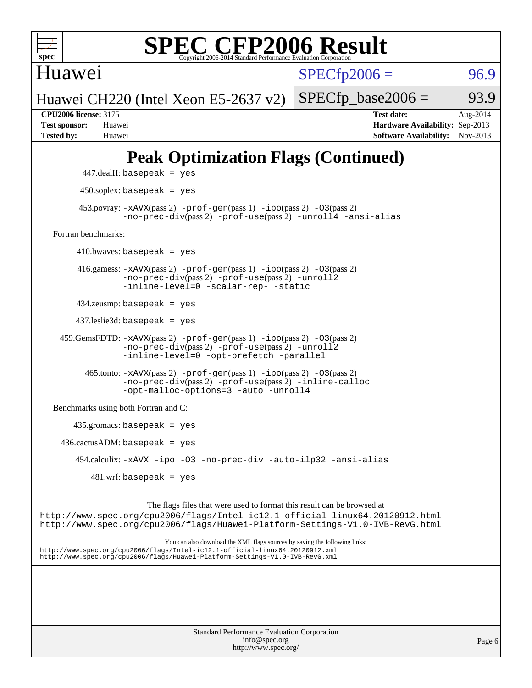

Huawei

 $SPECTp2006 =$  96.9

Huawei CH220 (Intel Xeon E5-2637 v2)

 $SPECTp\_base2006 = 93.9$ 

**[CPU2006 license:](http://www.spec.org/auto/cpu2006/Docs/result-fields.html#CPU2006license)** 3175 **[Test date:](http://www.spec.org/auto/cpu2006/Docs/result-fields.html#Testdate)** Aug-2014 **[Test sponsor:](http://www.spec.org/auto/cpu2006/Docs/result-fields.html#Testsponsor)** Huawei **[Hardware Availability:](http://www.spec.org/auto/cpu2006/Docs/result-fields.html#HardwareAvailability)** Sep-2013 **[Tested by:](http://www.spec.org/auto/cpu2006/Docs/result-fields.html#Testedby)** Huawei **[Software Availability:](http://www.spec.org/auto/cpu2006/Docs/result-fields.html#SoftwareAvailability)** Nov-2013

### **[Peak Optimization Flags \(Continued\)](http://www.spec.org/auto/cpu2006/Docs/result-fields.html#PeakOptimizationFlags)**